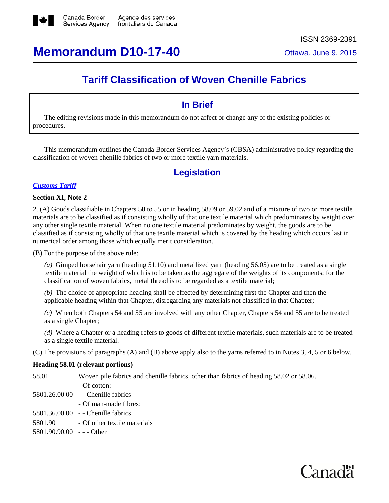

**Memorandum D10-17-40** Ottawa, June 9, 2015

# **Tariff Classification of Woven Chenille Fabrics**

### **In Brief**

The editing revisions made in this memorandum do not affect or change any of the existing policies or procedures.

This memorandum outlines the Canada Border Services Agency's (CBSA) administrative policy regarding the classification of woven chenille fabrics of two or more textile yarn materials.

### **Legislation**

#### *[Customs](http://www.cbsa-asfc.gc.ca/trade-commerce/tariff-tarif/menu-eng.html) Tariff*

#### **Section XI, Note 2**

2. (A) Goods classifiable in Chapters 50 to 55 or in heading 58.09 or 59.02 and of a mixture of two or more textile materials are to be classified as if consisting wholly of that one textile material which predominates by weight over any other single textile material. When no one textile material predominates by weight, the goods are to be classified as if consisting wholly of that one textile material which is covered by the heading which occurs last in numerical order among those which equally merit consideration.

(B) For the purpose of the above rule:

*(a)* Gimped horsehair yarn (heading 51.10) and metallized yarn (heading 56.05) are to be treated as a single textile material the weight of which is to be taken as the aggregate of the weights of its components; for the classification of woven fabrics, metal thread is to be regarded as a textile material;

*(b)* The choice of appropriate heading shall be effected by determining first the Chapter and then the applicable heading within that Chapter, disregarding any materials not classified in that Chapter;

*(c)* When both Chapters 54 and 55 are involved with any other Chapter, Chapters 54 and 55 are to be treated as a single Chapter;

*(d)* Where a Chapter or a heading refers to goods of different textile materials, such materials are to be treated as a single textile material.

(C) The provisions of paragraphs (A) and (B) above apply also to the yarns referred to in Notes 3, 4, 5 or 6 below.

#### **Heading 58.01 (relevant portions)**

| 58.01                   | Woven pile fabrics and chenille fabrics, other than fabrics of heading 58.02 or 58.06. |
|-------------------------|----------------------------------------------------------------------------------------|
|                         | - Of cotton:                                                                           |
|                         | 5801.26.00 00 - - Chenille fabrics                                                     |
|                         | - Of man-made fibres:                                                                  |
|                         | 5801.36.00 00 - Chenille fabrics                                                       |
| 5801.90                 | - Of other textile materials                                                           |
| 5801.90.90.00 --- Other |                                                                                        |
|                         |                                                                                        |

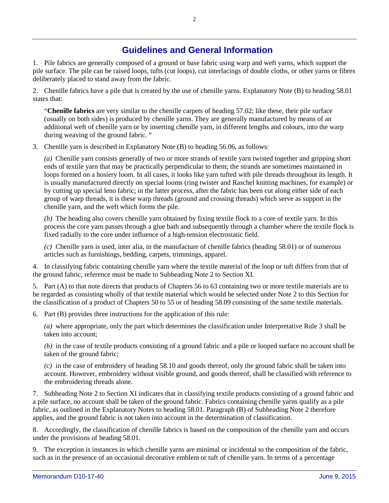## **Guidelines and General Information**

1. Pile fabrics are generally composed of a ground or base fabric using warp and weft yarns, which support the pile surface. The pile can be raised loops, tufts (cut loops), cut interlacings of double cloths, or other yarns or fibres deliberately placed to stand away from the fabric.

2. Chenille fabrics have a pile that is created by the use of chenille yarns. Explanatory Note (B) to heading 58.01 states that:

"**Chenille fabrics** are very similar to the chenille carpets of heading 57.02; like these, their pile surface (usually on both sides) is produced by chenille yarns. They are generally manufactured by means of an additional weft of chenille yarn or by inserting chenille yarn, in different lengths and colours, into the warp during weaving of the ground fabric. "

3. Chenille yarn is described in Explanatory Note (B) to heading 56.06, as follows:

*(a)* Chenille yarn consists generally of two or more strands of textile yarn twisted together and gripping short ends of textile yarn that may be practically perpendicular to them; the strands are sometimes maintained in loops formed on a hosiery loom. In all cases, it looks like yarn tufted with pile threads throughout its length. It is usually manufactured directly on special looms (ring twister and Raschel knitting machines, for example) or by cutting up special leno fabric; in the latter process, after the fabric has been cut along either side of each group of warp threads, it is these warp threads (ground and crossing threads) which serve as support in the chenille yarn, and the weft which forms the pile.

*(b)* The heading also covers chenille yarn obtained by fixing textile flock to a core of textile yarn. In this process the core yarn passes through a glue bath and subsequently through a chamber where the textile flock is fixed radially to the core under influence of a high-tension electrostatic field.

*(c)* Chenille yarn is used, inter alia, in the manufacture of chenille fabrics (heading 58.01) or of numerous articles such as furnishings, bedding, carpets, trimmings, apparel.

4. In classifying fabric containing chenille yarn where the textile material of the loop or tuft differs from that of the ground fabric, reference must be made to Subheading Note 2 to Section XI.

5. Part (A) to that note directs that products of Chapters 56 to 63 containing two or more textile materials are to be regarded as consisting wholly of that textile material which would be selected under Note 2 to this Section for the classification of a product of Chapters 50 to 55 or of heading 58.09 consisting of the same textile materials.

6. Part (B) provides three instructions for the application of this rule:

*(a)* where appropriate, only the part which determines the classification under Interpretative Rule 3 shall be taken into account;

*(b)* in the case of textile products consisting of a ground fabric and a pile or looped surface no account shall be taken of the ground fabric;

*(c)* in the case of embroidery of heading 58.10 and goods thereof, only the ground fabric shall be taken into account. However, embroidery without visible ground, and goods thereof, shall be classified with reference to the embroidering threads alone.

7. Subheading Note 2 to Section XI indicates that in classifying textile products consisting of a ground fabric and a pile surface, no account shall be taken of the ground fabric. Fabrics containing chenille yarns qualify as a pile fabric, as outlined in the Explanatory Notes to heading 58.01. Paragraph (B) of Subheading Note 2 therefore applies, and the ground fabric is not taken into account in the determination of classification.

8. Accordingly, the classification of chenille fabrics is based on the composition of the chenille yarn and occurs under the provisions of heading 58.01.

9. The exception is instances in which chenille yarns are minimal or incidental to the composition of the fabric, such as in the presence of an occasional decorative emblem or tuft of chenille yarn. In terms of a percentage